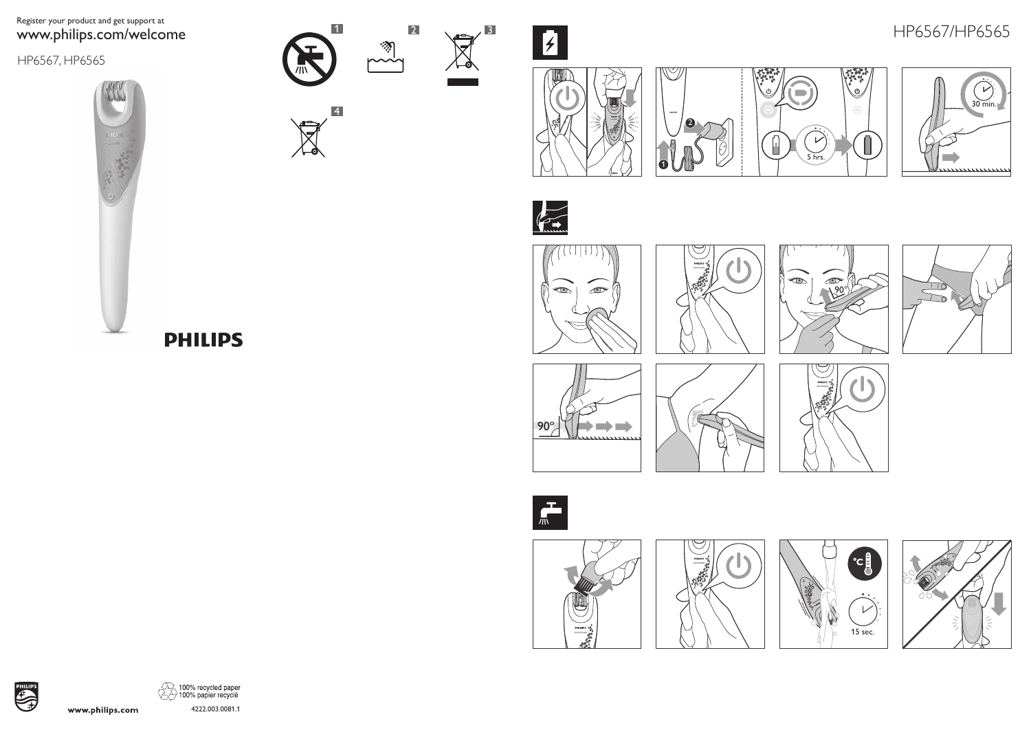# Register your product and get support at www.philips.com/welcome

HP6567, HP6565





 $\boxtimes$ 

4









.<br>رك

Λ



HP6567/HP6565

 $\sqrt{\frac{1}{10}}$ 



























4222.003.0081.1

**PHILIPS** 

www.philips.com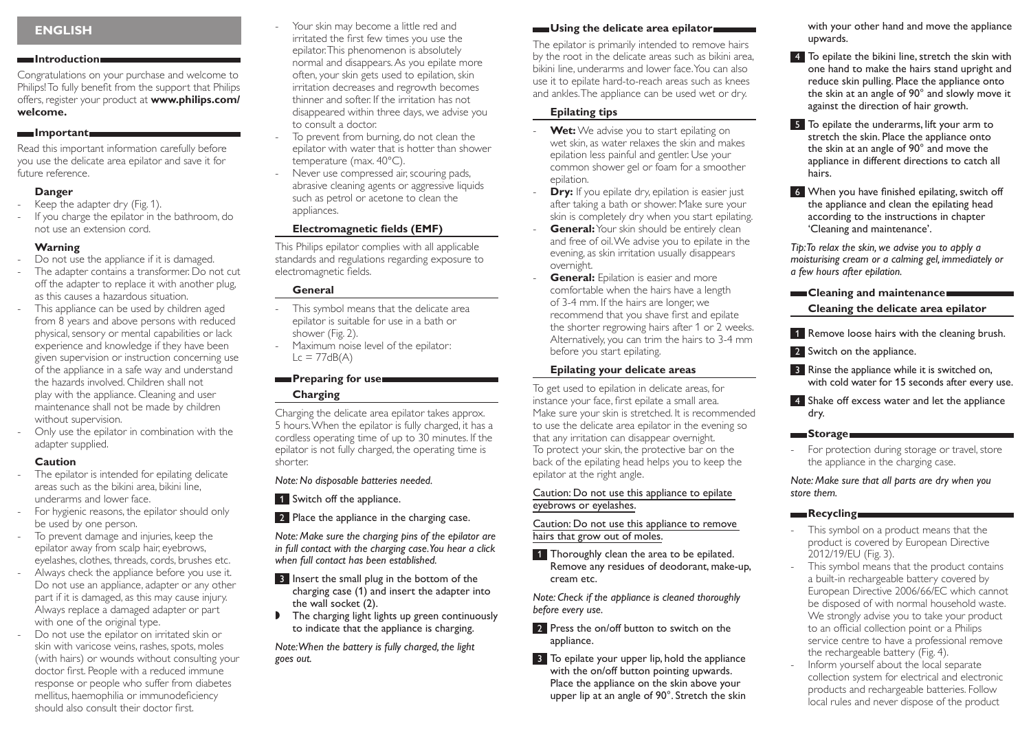# **ENGLISH**

#### **Introduction**

Congratulations on your purchase and welcome to Philips! To fully benefit from the support that Philips offers, register your product at **www.philips.com/ welcome.**

#### **Important**

Read this important information carefully before you use the delicate area epilator and save it for future reference.

### **Danger**

- Keep the adapter dry (Fig. 1).
- If you charge the epilator in the bathroom, do not use an extension cord.

### **Warning**

- Do not use the appliance if it is damaged.
- The adapter contains a transformer. Do not cut off the adapter to replace it with another plug, as this causes a hazardous situation.
- This appliance can be used by children aged from 8 years and above persons with reduced physical, sensory or mental capabilities or lack experience and knowledge if they have been given supervision or instruction concerning use of the appliance in a safe way and understand the hazards involved. Children shall not play with the appliance. Cleaning and user maintenance shall not be made by children without supervision.
- Only use the epilator in combination with the adapter supplied.

### **Caution**

- The epilator is intended for epilating delicate areas such as the bikini area, bikini line, underarms and lower face.
- For hygienic reasons, the epilator should only be used by one person.
- To prevent damage and injuries, keep the epilator away from scalp hair, eyebrows, eyelashes, clothes, threads, cords, brushes etc.
- Always check the appliance before you use it. Do not use an appliance, adapter or any other part if it is damaged, as this may cause injury. Always replace a damaged adapter or part with one of the original type.
- Do not use the epilator on irritated skin or skin with varicose veins, rashes, spots, moles (with hairs) or wounds without consulting your doctor first. People with a reduced immune response or people who suffer from diabetes mellitus, haemophilia or immunodeficiency should also consult their doctor first.
- Your skin may become a little red and irritated the first few times you use the epilator. This phenomenon is absolutely normal and disappears. As you epilate more often, your skin gets used to epilation, skin irritation decreases and regrowth becomes thinner and softer. If the irritation has not disappeared within three days, we advise you to consult a doctor.
- To prevent from burning, do not clean the epilator with water that is hotter than shower temperature (max. 40°C).
- Never use compressed air, scouring pads, abrasive cleaning agents or aggressive liquids such as petrol or acetone to clean the appliances.

### **Electromagnetic fields (EMF)**

This Philips epilator complies with all applicable standards and regulations regarding exposure to electromagnetic fields.

### **General**

- This symbol means that the delicate area epilator is suitable for use in a bath or shower (Fig. 2).
- Maximum noise level of the epilator:  $Lc = 77dB(A)$

### **Preparing for use Charging**

Charging the delicate area epilator takes approx. 5 hours. When the epilator is fully charged, it has a cordless operating time of up to 30 minutes. If the epilator is not fully charged, the operating time is shorter.

#### *Note: No disposable batteries needed.*

- 1 Switch off the appliance.
- 2 Place the appliance in the charging case.

*Note: Make sure the charging pins of the epilator are in full contact with the charging case. You hear a click when full contact has been established.*

- 3 Insert the small plug in the bottom of the charging case (1) and insert the adapter into the wall socket (2).
- $\triangleright$  The charging light lights up green continuously to indicate that the appliance is charging.

*Note: When the battery is fully charged, the light goes out.*

### **Using the delicate area epilator**

The epilator is primarily intended to remove hairs by the root in the delicate areas such as bikini area, bikini line, underarms and lower face. You can also use it to epilate hard-to-reach areas such as knees and ankles. The appliance can be used wet or dry.

### **Epilating tips**

- **Wet:** We advise you to start epilating on wet skin, as water relaxes the skin and makes epilation less painful and gentler. Use your common shower gel or foam for a smoother epilation.
- **Dry:** If you epilate dry, epilation is easier just after taking a bath or shower. Make sure your skin is completely dry when you start epilating.
- **General:** Your skin should be entirely clean and free of oil. We advise you to epilate in the evening, as skin irritation usually disappears overnight.
- **General:** Epilation is easier and more comfortable when the hairs have a length of 3-4 mm. If the hairs are longer, we recommend that you shave first and epilate the shorter regrowing hairs after 1 or 2 weeks. Alternatively, you can trim the hairs to 3-4 mm before you start epilating.

### **Epilating your delicate areas**

To get used to epilation in delicate areas, for instance your face, first epilate a small area. Make sure your skin is stretched. It is recommended to use the delicate area epilator in the evening so that any irritation can disappear overnight. To protect your skin, the protective bar on the back of the epilating head helps you to keep the epilator at the right angle.

Caution: Do not use this appliance to epilate eyebrows or eyelashes.

Caution: Do not use this appliance to remove hairs that grow out of moles.

1 Thoroughly clean the area to be epilated. Remove any residues of deodorant, make-up, cream etc.

*Note: Check if the appliance is cleaned thoroughly before every use.*

- 2 Press the on/off button to switch on the appliance.
- 3 To epilate your upper lip, hold the appliance with the on/off button pointing upwards. Place the appliance on the skin above your upper lip at an angle of 90°. Stretch the skin

with your other hand and move the appliance upwards.

- 4 To epilate the bikini line, stretch the skin with one hand to make the hairs stand upright and reduce skin pulling. Place the appliance onto the skin at an angle of 90° and slowly move it against the direction of hair growth.
- 5 To epilate the underarms, lift your arm to stretch the skin. Place the appliance onto the skin at an angle of 90° and move the appliance in different directions to catch all hairs.
- 6 When you have finished epilating, switch off the appliance and clean the epilating head according to the instructions in chapter 'Cleaning and maintenance'.

*Tip: To relax the skin, we advise you to apply a moisturising cream or a calming gel, immediately or a few hours after epilation.* 

# **Cleaning and maintenance**

**Cleaning the delicate area epilator**

- 1 Remove loose hairs with the cleaning brush.
- 2 Switch on the appliance.
- **3** Rinse the appliance while it is switched on, with cold water for 15 seconds after every use.
- 4 Shake off excess water and let the appliance dry.

### **Storage**

- For protection during storage or travel, store the appliance in the charging case.

*Note: Make sure that all parts are dry when you store them.*

### **Recycling**

- This symbol on a product means that the product is covered by European Directive 2012/19/EU (Fig. 3).
- This symbol means that the product contains a built-in rechargeable battery covered by European Directive 2006/66/EC which cannot be disposed of with normal household waste. We strongly advise you to take your product to an official collection point or a Philips service centre to have a professional remove the rechargeable battery (Fig. 4).
- Inform yourself about the local separate collection system for electrical and electronic products and rechargeable batteries. Follow local rules and never dispose of the product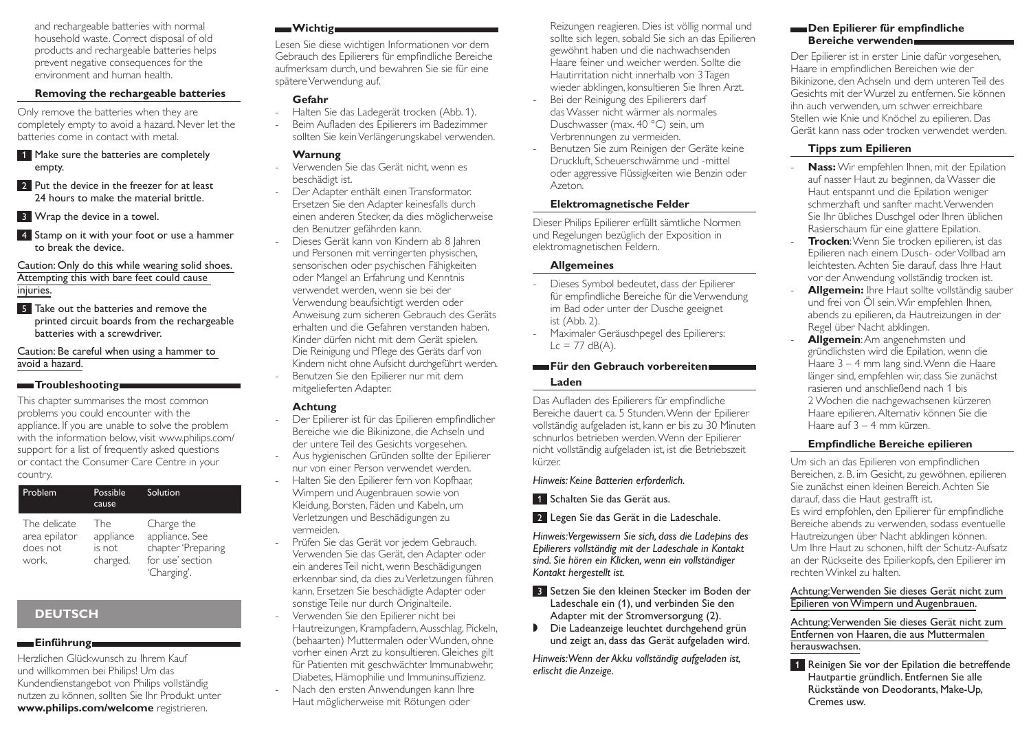and rechargeable batteries with normal household waste. Correct disposal of old products and rechargeable batteries helps prevent negative consequences for the environment and human health.

### **Removing the rechargeable batteries**

Only remove the batteries when they are completely empty to avoid a hazard. Never let the batteries come in contact with metal.

- 1 Make sure the batteries are completely empty.
- 2 Put the device in the freezer for at least 24 hours to make the material brittle.
- **3** Wrap the device in a towel.
- 4 Stamp on it with your foot or use a hammer to break the device.

Caution: Only do this while wearing solid shoes. Attempting this with bare feet could cause injuries.

**5** Take out the batteries and remove the printed circuit boards from the rechargeable batteries with a screwdriver.

Caution: Be careful when using a hammer to avoid a hazard.

### **Troubleshooting**

This chapter summarises the most common problems you could encounter with the appliance. If you are unable to solve the problem with the information below, visit www.philips.com/ support for a list of frequently asked questions or contact the Consumer Care Centre in your country.

| Problem                                            | Possible<br>cause                      | Solution                                                                              |
|----------------------------------------------------|----------------------------------------|---------------------------------------------------------------------------------------|
| The delicate<br>area epilator<br>does not<br>work. | The<br>appliance<br>is not<br>charged. | Charge the<br>appliance. See<br>chapter 'Preparing<br>for use' section<br>'Charging'. |

# **DEUTSCH**

### **Einführung**

Herzlichen Glückwunsch zu Ihrem Kauf und willkommen bei Philips! Um das Kundendienstangebot von Philips vollständig nutzen zu können, sollten Sie Ihr Produkt unter **www.philips.com/welcome** registrieren.

### **Wichtigway**

Lesen Sie diese wichtigen Informationen vor dem Gebrauch des Epilierers für empfindliche Bereiche aufmerksam durch, und bewahren Sie sie für eine spätere Verwendung auf.

### **Gefahr**

- Halten Sie das Ladegerät trocken (Abb. 1).
- Beim Aufladen des Epilierers im Badezimmer sollten Sie kein Verlängerungskabel verwenden.

#### **Warnung**

- Verwenden Sie das Gerät nicht, wenn es beschädigt ist.
- Der Adapter enthält einen Transformator. Ersetzen Sie den Adapter keinesfalls durch einen anderen Stecker, da dies möglicherweise den Benutzer gefährden kann.
- Dieses Gerät kann von Kindern ab 8 Jahren und Personen mit verringerten physischen, sensorischen oder psychischen Fähigkeiten oder Mangel an Erfahrung und Kenntnis verwendet werden, wenn sie bei der Verwendung beaufsichtigt werden oder Anweisung zum sicheren Gebrauch des Geräts erhalten und die Gefahren verstanden haben. Kinder dürfen nicht mit dem Gerät spielen. Die Reinigung und Pflege des Geräts darf von Kindern nicht ohne Aufsicht durchgeführt werden.
- Benutzen Sie den Epilierer nur mit dem mitgelieferten Adapter.

### **Achtung**

- Der Epilierer ist für das Epilieren empfindlicher Bereiche wie die Bikinizone, die Achseln und der untere Teil des Gesichts vorgesehen.
- Aus hygienischen Gründen sollte der Epilierer nur von einer Person verwendet werden.
- Halten Sie den Epilierer fern von Kopfhaar, Wimpern und Augenbrauen sowie von Kleidung, Borsten, Fäden und Kabeln, um Verletzungen und Beschädigungen zu vermeiden.
- Prüfen Sie das Gerät vor jedem Gebrauch. Verwenden Sie das Gerät, den Adapter oder ein anderes Teil nicht, wenn Beschädigungen erkennbar sind, da dies zu Verletzungen führen kann. Ersetzen Sie beschädigte Adapter oder sonstige Teile nur durch Originalteile.
- Verwenden Sie den Epilierer nicht bei Hautreizungen, Krampfadern, Ausschlag, Pickeln, (behaarten) Muttermalen oder Wunden, ohne vorher einen Arzt zu konsultieren. Gleiches gilt für Patienten mit geschwächter Immunabwehr, Diabetes, Hämophilie und Immuninsuffizienz. - Nach den ersten Anwendungen kann Ihre Haut möglicherweise mit Rötungen oder

Reizungen reagieren. Dies ist völlig normal und sollte sich legen, sobald Sie sich an das Epilieren gewöhnt haben und die nachwachsenden Haare feiner und weicher werden. Sollte die Hautirritation nicht innerhalb von 3Tagen wieder abklingen, konsultieren Sie Ihren Arzt.

- Bei der Reinigung des Epilierers darf das Wasser nicht wärmer als normales Duschwasser (max. 40 °C) sein, um Verbrennungen zu vermeiden.
- Benutzen Sie zum Reinigen der Geräte keine Druckluft, Scheuerschwämme und -mittel oder aggressive Flüssigkeiten wie Benzin oder Azeton.

### **Elektromagnetische Felder**

Dieser Philips Epilierer erfüllt sämtliche Normen und Regelungen bezüglich der Exposition in elektromagnetischen Feldern.

### **Allgemeines**

- Dieses Symbol bedeutet, dass der Epilierer für empfindliche Bereiche für die Verwendung im Bad oder unter der Dusche geeignet ist (Abb. 2).
- Maximaler Geräuschpegel des Epilierers:  $Lc = 77$  dB(A).

### **Für den Gebrauch vorbereiten Laden**

Das Aufladen des Epilierers für empfindliche Bereiche dauert ca. 5 Stunden. Wenn der Epilierer vollständig aufgeladen ist, kann er bis zu 30 Minuten schnurlos betrieben werden. Wenn der Epilierer nicht vollständig aufgeladen ist, ist die Betriebszeit kürzer.

### *Hinweis: Keine Batterien erforderlich.*

- **1 Schalten Sie das Gerät aus.**
- 2 Legen Sie das Gerät in die Ladeschale.

*Hinweis: Vergewissern Sie sich, dass die Ladepins des Epilierers vollständig mit der Ladeschale in Kontakt sind. Sie hören ein Klicken, wenn ein vollständiger Kontakt hergestellt ist.*

- **3 Setzen Sie den kleinen Stecker im Boden der** Ladeschale ein (1), und verbinden Sie den Adapter mit der Stromversorgung (2).
- $\triangleright$  Die Ladeanzeige leuchtet durchgehend grün und zeigt an, dass das Gerät aufgeladen wird.

*Hinweis: Wenn der Akku vollständig aufgeladen ist, erlischt die Anzeige.*

### **Den Epilierer für empfindliche Bereiche verwenden**

Der Epilierer ist in erster Linie dafür vorgesehen, Haare in empfindlichen Bereichen wie der Bikinizone, den Achseln und dem unteren Teil des Gesichts mit der Wurzel zu entfernen. Sie können ihn auch verwenden, um schwer erreichbare Stellen wie Knie und Knöchel zu epilieren. Das Gerät kann nass oder trocken verwendet werden.

### **Tipps zum Epilieren**

- **Nass:** Wir empfehlen Ihnen, mit der Epilation auf nasser Haut zu beginnen, da Wasser die Haut entspannt und die Epilation weniger schmerzhaft und sanfter macht. Verwenden Sie Ihr übliches Duschgel oder Ihren üblichen Rasierschaum für eine glattere Epilation.
- **Trocken:** Wenn Sie trocken epilieren, ist das Epilieren nach einem Dusch- oder Vollbad am leichtesten. Achten Sie darauf, dass Ihre Haut vor der Anwendung vollständig trocken ist.
- Allgemein: Ihre Haut sollte vollständig sauber und frei von Öl sein. Wir empfehlen Ihnen, abends zu epilieren, da Hautreizungen in der Regel über Nacht abklingen.
- **Allgemein**: Am angenehmsten und gründlichsten wird die Epilation, wenn die Haare 3 – 4 mm lang sind. Wenn die Haare länger sind, empfehlen wir, dass Sie zunächst rasieren und anschließend nach 1 bis 2 Wochen die nachgewachsenen kürzeren Haare epilieren. Alternativ können Sie die Haare auf 3 – 4 mm kürzen.

### **Empfindliche Bereiche epilieren**

Um sich an das Epilieren von empfindlichen Bereichen, z. B. im Gesicht, zu gewöhnen, epilieren Sie zunächst einen kleinen Bereich. Achten Sie darauf, dass die Haut gestrafft ist. Es wird empfohlen, den Epilierer für empfindliche Bereiche abends zu verwenden, sodass eventuelle Hautreizungen über Nacht abklingen können. Um Ihre Haut zu schonen, hilft der Schutz-Aufsatz an der Rückseite des Epilierkopfs, den Epilierer im rechten Winkel zu halten.

#### Achtung: Verwenden Sie dieses Gerät nicht zum Epilieren von Wimpern und Augenbrauen.

Achtung: Verwenden Sie dieses Gerät nicht zum Entfernen von Haaren, die aus Muttermalen herauswachsen.

1 Reinigen Sie vor der Epilation die betreffende Hautpartie gründlich. Entfernen Sie alle Rückstände von Deodorants, Make-Up, Cremes usw.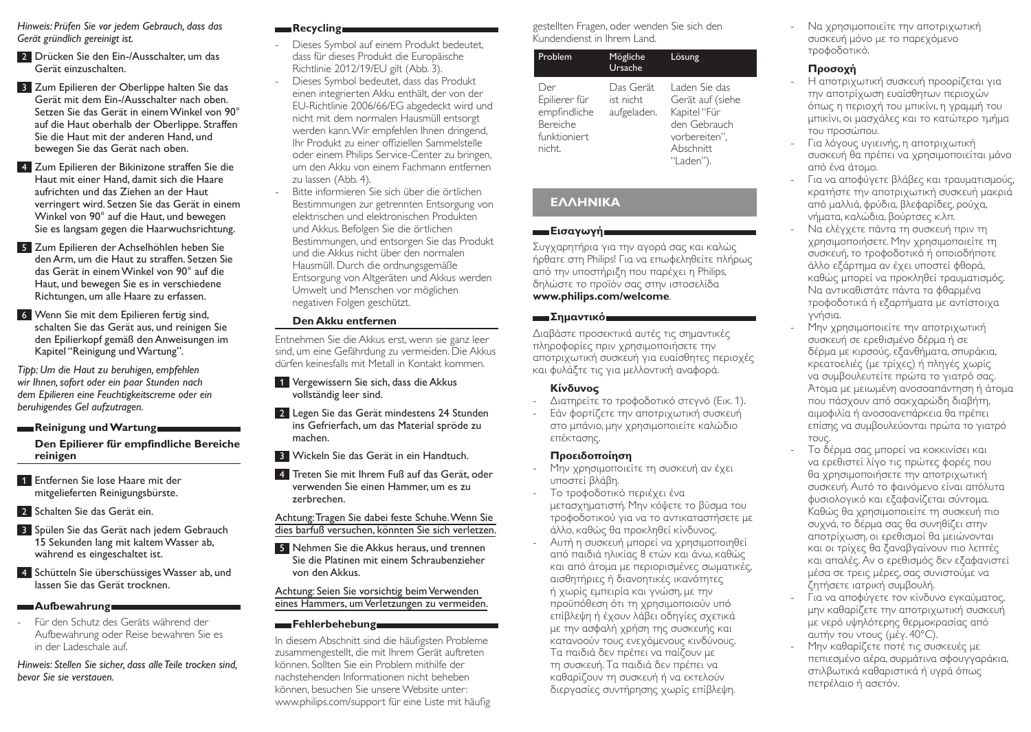*Hinweis: Prüfen Sie vor jedem Gebrauch, dass das Gerät gründlich gereinigt ist.*

- **2** Drücken Sie den Ein-/Ausschalter, um das Gerät einzuschalten.
- **3** Zum Epilieren der Oberlippe halten Sie das Gerät mit dem Ein-/Ausschalter nach oben. Setzen Sie das Gerät in einem Winkel von 90° auf die Haut oberhalb der Oberlippe. Straffen Sie die Haut mit der anderen Hand, und bewegen Sie das Gerät nach oben.
- **4 Zum Epilieren der Bikinizone straffen Sie die** Haut mit einer Hand, damit sich die Haare aufrichten und das Ziehen an der Haut verringert wird. Setzen Sie das Gerät in einem Winkel von 90° auf die Haut, und bewegen Sie es langsam gegen die Haarwuchsrichtung.
- 5 Zum Epilieren der Achselhöhlen heben Sie den Arm, um die Haut zu straffen. Setzen Sie das Gerät in einem Winkel von 90° auf die Haut, und bewegen Sie es in verschiedene Richtungen, um alle Haare zu erfassen.
- 6 Wenn Sie mit dem Epilieren fertig sind, schalten Sie das Gerät aus, und reinigen Sie den Epilierkopf gemäß den Anweisungen im Kapitel "Reinigung und Wartung".

*Tipp: Um die Haut zu beruhigen, empfehlen wir Ihnen, sofort oder ein paar Stunden nach dem Epilieren eine Feuchtigkeitscreme oder ein beruhigendes Gel aufzutragen.* 

### **Reinigung und Wartung**

**Den Epilierer für empfindliche Bereiche reinigen**

- 1 Entfernen Sie lose Haare mit der mitgelieferten Reinigungsbürste.
- **2** Schalten Sie das Gerät ein.
- **3** Spülen Sie das Gerät nach jedem Gebrauch 15 Sekunden lang mit kaltem Wasser ab, während es eingeschaltet ist.
- 4 Schütteln Sie überschüssiges Wasser ab, und lassen Sie das Gerät trocknen.

### **Aufbewahrung**

- Für den Schutz des Geräts während der Aufbewahrung oder Reise bewahren Sie es in der Ladeschale auf.

*Hinweis: Stellen Sie sicher, dass alle Teile trocken sind, bevor Sie sie verstauen.*

# **Recycling**

- Dieses Symbol auf einem Produkt bedeutet, dass für dieses Produkt die Europäische Richtlinie 2012/19/EU gilt (Abb. 3).
- Dieses Symbol bedeutet, dass das Produkt einen integrierten Akku enthält, der von der EU-Richtlinie 2006/66/EG abgedeckt wird und nicht mit dem normalen Hausmüll entsorgt werden kann. Wir empfehlen Ihnen dringend, Ihr Produkt zu einer offiziellen Sammelstelle oder einem Philips Service-Center zu bringen, um den Akku von einem Fachmann entfernen zu lassen (Abb. 4).
- Bitte informieren Sie sich über die örtlichen Bestimmungen zur getrennten Entsorgung von elektrischen und elektronischen Produkten und Akkus. Befolgen Sie die örtlichen Bestimmungen, und entsorgen Sie das Produkt und die Akkus nicht über den normalen Hausmüll. Durch die ordnungsgemäße Entsorgung von Altgeräten und Akkus werden Umwelt und Menschen vor möglichen negativen Folgen geschützt.

### **Den Akku entfernen**

Entnehmen Sie die Akkus erst, wenn sie ganz leer sind, um eine Gefährdung zu vermeiden. Die Akkus dürfen keinesfalls mit Metall in Kontakt kommen.

- 1 Vergewissern Sie sich, dass die Akkus vollständig leer sind.
- **2 Legen Sie das Gerät mindestens 24 Stunden** ins Gefrierfach, um das Material spröde zu machen.
- 3 Wickeln Sie das Gerät in ein Handtuch.
- 4 Treten Sie mit Ihrem Fuß auf das Gerät, oder verwenden Sie einen Hammer, um es zu zerbrechen.

### Achtung: Tragen Sie dabei feste Schuhe. Wenn Sie dies barfuß versuchen, könnten Sie sich verletzen.

5 Nehmen Sie die Akkus heraus, und trennen Sie die Platinen mit einem Schraubenzieher von den Akkus.

### Achtung: Seien Sie vorsichtig beim Verwenden eines Hammers, um Verletzungen zu vermeiden.

### Fehlerbehebung

In diesem Abschnitt sind die häufigsten Probleme zusammengestellt, die mit Ihrem Gerät auftreten können. Sollten Sie ein Problem mithilfe der nachstehenden Informationen nicht beheben können, besuchen Sie unsere Website unter: www.philips.com/support für eine Liste mit häufig gestellten Fragen, oder wenden Sie sich den Kundendienst in Ihrem Land.

| Problem                                                                    | Mögliche<br>Ursache                   | Lösung                                                                                                       |
|----------------------------------------------------------------------------|---------------------------------------|--------------------------------------------------------------------------------------------------------------|
| Der<br>Epilierer für<br>empfindliche<br>Bereiche<br>funktioniert<br>nicht. | Das Gerät<br>ist nicht<br>aufgeladen. | Laden Sie das<br>Gerät auf (siehe<br>Kapitel "Für<br>den Gebrauch<br>vorbereiten",<br>Abschnitt<br>"Laden"). |

# **ΕΛΛΗΝΙΚΑ**

### **Εισαγωγή και**

Συγχαρητήρια για την αγορά σας και καλώς ήρθατε στη Philips! Για να επωφεληθείτε πλήρως από την υποστήριξη που παρέχει η Philips, δηλώστε το προϊόν σας στην ιστοσελίδα **www.philips.com/welcome**.

### **Σημαντικό**

Διαβάστε προσεκτικά αυτές τις σημαντικές πληροφορίες πριν χρησιμοποιήσετε την αποτριχωτική συσκευή για ευαίσθητες περιοχές και φυλάξτε τις για μελλοντική αναφορά.

## **Κίνδυνος**

- Διατηρείτε το τροφοδοτικό στεγνό (Εικ. 1).
- Εάν φορτίζετε την αποτριχωτική συσκευή στο μπάνιο, μην χρησιμοποιείτε καλώδιο επέκτασης.

# **Προειδοποίηση**

- Μην χρησιμοποιείτε τη συσκευή αν έχει υποστεί βλάβη.
- Το τροφοδοτικό περιέχει ένα μετασχηματιστή. Μην κόψετε το βύσμα του τροφοδοτικού για να το αντικαταστήσετε με άλλο, καθώς θα προκληθεί κίνδυνος.
- Αυτή η συσκευή μπορεί να χρησιμοποιηθεί από παιδιά ηλικίας 8 ετών και άνω, καθώς και από άτομα με περιορισμένες σωματικές, αισθητήριες ή διανοητικές ικανότητες ή χωρίς εμπειρία και γνώση, με την προϋπόθεση ότι τη χρησιμοποιούν υπό επίβλεψη ή έχουν λάβει οδηγίες σχετικά με την ασφαλή χρήση της συσκευής και κατανοούν τους ενεχόμενους κινδύνους. Τα παιδιά δεν πρέπει να παίζουν με τη συσκευή. Τα παιδιά δεν πρέπει να καθαρίζουν τη συσκευή ή να εκτελούν διεργασίες συντήρησης χωρίς επίβλεψη.

- Να χρησιμοποιείτε την αποτριχωτική συσκευή μόνο με το παρεχόμενο τροφοδοτικό.

# **Προσοχή**

- Η αποτριχωτική συσκευή προορίζεται για την αποτρίχωση ευαίσθητων περιοχών όπως η περιοχή του μπικίνι, η γραμμή του μπικίνι, οι μασχάλες και το κατώτερο τμήμα του προσώπου.
- Για λόγους υγιεινής, η αποτριχωτική συσκευή θα πρέπει να χρησιμοποιείται μόνο από ένα άτομο.
- Για να αποφύγετε βλάβες και τραυματισμούς, κρατήστε την αποτριχωτική συσκευή μακριά από μαλλιά, φρύδια, βλεφαρίδες, ρούχα, νήματα, καλώδια, βούρτσες κ.λπ.
- Να ελέγχετε πάντα τη συσκευή πριν τη χρησιμοποιήσετε. Μην χρησιμοποιείτε τη συσκευή, το τροφοδοτικό ή οποιοδήποτε άλλο εξάρτημα αν έχει υποστεί φθορά, καθώς μπορεί να προκληθεί τραυματισμός. Να αντικαθιστάτε πάντα τα φθαρμένα τροφοδοτικά ή εξαρτήματα με αντίστοιχα γνήσια.
- Μην χρησιμοποιείτε την αποτριχωτική συσκευή σε ερεθισμένο δέρμα ή σε δέρμα με κιρσούς, εξανθήματα, σπυράκια, κρεατοελιές (με τρίχες) ή πληγές χωρίς να συμβουλευτείτε πρώτα το γιατρό σας. Άτομα με μειωμένη ανοσοαπάντηση ή άτομα που πάσχουν από σακχαρώδη διαβήτη, αιμοφιλία ή ανοσοανεπάρκεια θα πρέπει επίσης να συμβουλεύονται πρώτα το γιατρό τους.
- Το δέρμα σας μπορεί να κοκκινίσει και να ερεθιστεί λίγο τις πρώτες φορές που θα χρησιμοποιήσετε την αποτριχωτική συσκευή. Αυτό το φαινόμενο είναι απόλυτα φυσιολογικό και εξαφανίζεται σύντομα. Καθώς θα χρησιμοποιείτε τη συσκευή πιο συχνά, το δέρμα σας θα συνηθίζει στην αποτρίχωση, οι ερεθισμοί θα μειώνονται και οι τρίχες θα ξαναβγαίνουν πιο λεπτές και απαλές. Αν ο ερεθισμός δεν εξαφανιστεί μέσα σε τρεις μέρες, σας συνιστούμε να ζητήσετε ιατρική συμβουλή.
- Για να αποφύγετε τον κίνδυνο εγκαύματος, μην καθαρίζετε την αποτριχωτική συσκευή με νερό υψηλότερης θερμοκρασίας από αυτήν του ντους (μέγ. 40°C).
- Μην καθαρίζετε ποτέ τις συσκευές με πεπιεσμένο αέρα, συρμάτινα σφουγγαράκια, στιλβωτικά καθαριστικά ή υγρά όπως πετρέλαιο ή ασετόν.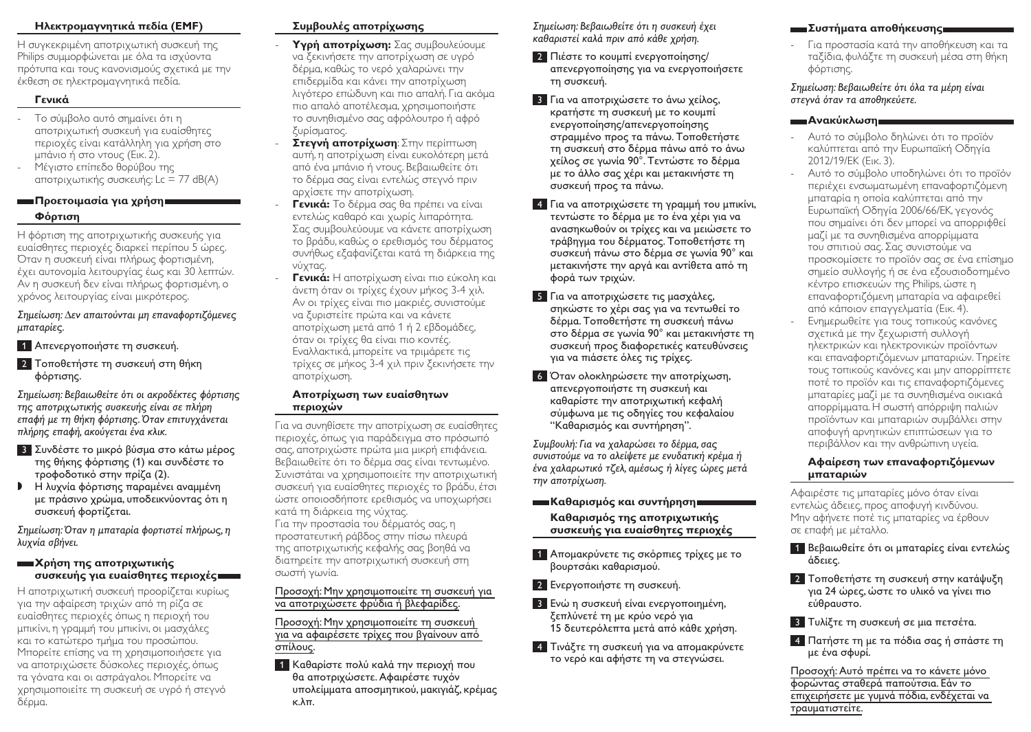# **Ηλεκτρομαγνητικά πεδία (EMF)**

Η συγκεκριμένη αποτριχωτική συσκευή της Philips συμμορφώνεται με όλα τα ισχύοντα πρότυπα και τους κανονισμούς σχετικά με την έκθεση σε ηλεκτρομαγνητικά πεδία.

# **Γενικά**

- Το σύμβολο αυτό σημαίνει ότι η αποτριχωτική συσκευή για ευαίσθητες περιοχές είναι κατάλληλη για χρήση στο μπάνιο ή στο ντους (Εικ. 2).
- Μέγιστο επίπεδο θορύβου της αποτριχωτικής συσκευής: Lc = 77 dB(A)

# **Προετοιμασία για χρήση Φόρτιση**

Η φόρτιση της αποτριχωτικής συσκευής για ευαίσθητες περιοχές διαρκεί περίπου 5 ώρες. Όταν η συσκευή είναι πλήρως φορτισμένη, έχει αυτονομία λειτουργίας έως και 30 λεπτών. Αν η συσκευή δεν είναι πλήρως φορτισμένη, ο χρόνος λειτουργίας είναι μικρότερος.

*Σημείωση: Δεν απαιτούνται μη επαναφορτιζόμενες μπαταρίες.*

- 1 Απενεργοποιήστε τη συσκευή.
- 2 Τοποθετήστε τη συσκευή στη θήκη φόρτισης.

*Σημείωση: Βεβαιωθείτε ότι οι ακροδέκτες φόρτισης της αποτριχωτικής συσκευής είναι σε πλήρη επαφή με τη θήκη φόρτισης. Όταν επιτυγχάνεται πλήρης επαφή, ακούγεται ένα κλικ.*

- 3 Συνδέστε το μικρό βύσμα στο κάτω μέρος της θήκης φόρτισης (1) και συνδέστε το τροφοδοτικό στην πρίζα (2).
- , <sup>Η</sup> λυχνία φόρτισης παραμένει αναμμένη με πράσινο χρώμα, υποδεικνύοντας ότι η συσκευή φορτίζεται.

*Σημείωση: Όταν η μπαταρία φορτιστεί πλήρως, η λυχνία σβήνει.*

### **Χρήση της αποτριχωτικής συσκευής για ευαίσθητες περιοχές**

Η αποτριχωτική συσκευή προορίζεται κυρίως για την αφαίρεση τριχών από τη ρίζα σε ευαίσθητες περιοχές όπως η περιοχή του μπικίνι, η γραμμή του μπικίνι, οι μασχάλες και το κατώτερο τμήμα του προσώπου. Μπορείτε επίσης να τη χρησιμοποιήσετε για να αποτριχώσετε δύσκολες περιοχές, όπως τα γόνατα και οι αστράγαλοι. Μπορείτε να χρησιμοποιείτε τη συσκευή σε υγρό ή στεγνό δέρμα.

# **Συμβουλές αποτρίχωσης**

- **Υγρή αποτρίχωση:** Σας συμβουλεύουμε να ξεκινήσετε την αποτρίχωση σε υγρό δέρμα, καθώς το νερό χαλαρώνει την επιδερμίδα και κάνει την αποτρίχωση λιγότερο επώδυνη και πιο απαλή. Για ακόμα πιο απαλό αποτέλεσμα, χρησιμοποιήστε το συνηθισμένο σας αφρόλουτρο ή αφρό ξυρίσματος.
- **Στεγνή αποτρίχωση**: Στην περίπτωση αυτή, η αποτρίχωση είναι ευκολότερη μετά από ένα μπάνιο ή ντους. Βεβαιωθείτε ότι το δέρμα σας είναι εντελώς στεγνό πριν αρχίσετε την αποτρίχωση.
- **Γενικά:** Το δέρμα σας θα πρέπει να είναι εντελώς καθαρό και χωρίς λιπαρότητα. Σας συμβουλεύουμε να κάνετε αποτρίχωση το βράδυ, καθώς ο ερεθισμός του δέρματος συνήθως εξαφανίζεται κατά τη διάρκεια της νύχτας.
- **Γενικά:** Η αποτρίχωση είναι πιο εύκολη και άνετη όταν οι τρίχες έχουν μήκος 3-4 χιλ. Αν οι τρίχες είναι πιο μακριές, συνιστούμε να ξυριστείτε πρώτα και να κάνετε αποτρίχωση μετά από 1 ή 2 εβδομάδες, όταν οι τρίχες θα είναι πιο κοντές. Εναλλακτικά, μπορείτε να τριμάρετε τις τρίχες σε μήκος 3-4 χιλ πριν ξεκινήσετε την αποτρίχωση.

### **Αποτρίχωση των ευαίσθητων περιοχών**

Για να συνηθίσετε την αποτρίχωση σε ευαίσθητες περιοχές, όπως για παράδειγμα στο πρόσωπό σας, αποτριχώστε πρώτα μια μικρή επιφάνεια. Βεβαιωθείτε ότι το δέρμα σας είναι τεντωμένο. Συνιστάται να χρησιμοποιείτε την αποτριχωτική συσκευή για ευαίσθητες περιοχές το βράδυ, έτσι ώστε οποιοσδήποτε ερεθισμός να υποχωρήσει κατά τη διάρκεια της νύχτας. Για την προστασία του δέρματός σας, η προστατευτική ράβδος στην πίσω πλευρά της αποτριχωτικής κεφαλής σας βοηθά να διατηρείτε την αποτριχωτική συσκευή στη σωστή γωνία.

### Προσοχή: Μην χρησιμοποιείτε τη συσκευή για να αποτριχώσετε φρύδια ή βλεφαρίδες.

Προσοχή: Μην χρησιμοποιείτε τη συσκευή για να αφαιρέσετε τρίχες που βγαίνουν από σπίλους.

1 Καθαρίστε πολύ καλά την περιοχή που θα αποτριχώσετε. Αφαιρέστε τυχόν υπολείμματα αποσμητικού, μακιγιάζ, κρέμας κ.λπ.

*Σημείωση: Βεβαιωθείτε ότι η συσκευή έχει καθαριστεί καλά πριν από κάθε χρήση.*

- 2 Πιέστε το κουμπί ενεργοποίησης/ απενεργοποίησης για να ενεργοποιήσετε τη συσκευή.
- 3 Για να αποτριχώσετε το άνω χείλος, κρατήστε τη συσκευή με το κουμπί ενεργοποίησης/απενεργοποίησης στραμμένο προς τα πάνω. Τοποθετήστε τη συσκευή στο δέρμα πάνω από το άνω χείλος σε γωνία 90°. Τεντώστε το δέρμα με το άλλο σας χέρι και μετακινήστε τη συσκευή προς τα πάνω.
- 4 Για να αποτριχώσετε τη γραμμή του μπικίνι, τεντώστε το δέρμα με το ένα χέρι για να ανασηκωθούν οι τρίχες και να μειώσετε το τράβηγμα του δέρματος. Τοποθετήστε τη συσκευή πάνω στο δέρμα σε γωνία 90° και μετακινήστε την αργά και αντίθετα από τη φορά των τριχών.
- 5 Για να αποτριχώσετε τις μασχάλες, σηκώστε το χέρι σας για να τεντωθεί το δέρμα. Τοποθετήστε τη συσκευή πάνω στο δέρμα σε γωνία 90° και μετακινήστε τη συσκευή προς διαφορετικές κατευθύνσεις για να πιάσετε όλες τις τρίχες.
- 6 Όταν ολοκληρώσετε την αποτρίχωση, απενεργοποιήστε τη συσκευή και καθαρίστε την αποτριχωτική κεφαλή σύμφωνα με τις οδηγίες του κεφαλαίου "Καθαρισμός και συντήρηση".

*Συμβουλή: Για να χαλαρώσει το δέρμα, σας συνιστούμε να το αλείψετε με ενυδατική κρέμα ή ένα χαλαρωτικό τζελ, αμέσως ή λίγες ώρες μετά την αποτρίχωση.* 

**Καθαρισμός και συντήρηση**

### **Καθαρισμός της αποτριχωτικής συσκευής για ευαίσθητες περιοχές**

- 1 Απομακρύνετε τις σκόρπιες τρίχες με το βουρτσάκι καθαρισμού.
- 2 Ενεργοποιήστε τη συσκευή.
- 3 Ενώ η συσκευή είναι ενεργοποιημένη, ξεπλύνετέ τη με κρύο νερό για 15 δευτερόλεπτα μετά από κάθε χρήση.
- 4 Τινάξτε τη συσκευή για να απομακρύνετε το νερό και αφήστε τη να στεγνώσει.

# **Συστήματα αποθήκευσης**

- Για προστασία κατά την αποθήκευση και τα ταξίδια, φυλάξτε τη συσκευή μέσα στη θήκη φόρτισης.

*Σημείωση: Βεβαιωθείτε ότι όλα τα μέρη είναι στεγνά όταν τα αποθηκεύετε.*

### **- Ανακύκλωση**

- Αυτό το σύμβολο δηλώνει ότι το προϊόν καλύπτεται από την Ευρωπαϊκή Οδηγία 2012/19/ΕΚ (Εικ. 3).
- Αυτό το σύμβολο υποδηλώνει ότι το προϊόν περιέχει ενσωματωμένη επαναφορτιζόμενη μπαταρία η οποία καλύπτεται από την Ευρωπαϊκή Οδηγία 2006/66/ΕΚ, γεγονός που σημαίνει ότι δεν μπορεί να απορριφθεί μαζί με τα συνηθισμένα απορρίμματα του σπιτιού σας. Σας συνιστούμε να προσκομίσετε το προϊόν σας σε ένα επίσημο σημείο συλλογής ή σε ένα εξουσιοδοτημένο κέντρο επισκευών της Philips, ώστε η επαναφορτιζόμενη μπαταρία να αφαιρεθεί από κάποιον επαγγελματία (Εικ. 4).
- Ενημερωθείτε για τους τοπικούς κανόνες σχετικά με την ξεχωριστή συλλογή ηλεκτρικών και ηλεκτρονικών προϊόντων και επαναφορτιζόμενων μπαταριών. Τηρείτε τους τοπικούς κανόνες και μην απορρίπτετε ποτέ το προϊόν και τις επαναφορτιζόμενες μπαταρίες μαζί με τα συνηθισμένα οικιακά απορρίμματα. Η σωστή απόρριψη παλιών προϊόντων και μπαταριών συμβάλλει στην αποφυγή αρνητικών επιπτώσεων για το περιβάλλον και την ανθρώπινη υγεία.

### **Αφαίρεση των επαναφορτιζόμενων μπαταριών**

Αφαιρέστε τις μπαταρίες μόνο όταν είναι εντελώς άδειες, προς αποφυγή κινδύνου. Μην αφήνετε ποτέ τις μπαταρίες να έρθουν σε επαφή με μέταλλο.

- 1 Βεβαιωθείτε ότι οι μπαταρίες είναι εντελώς άδειες.
- 2 Τοποθετήστε τη συσκευή στην κατάψυξη για 24 ώρες, ώστε το υλικό να γίνει πιο εύθραυστο.
- 3 Τυλίξτε τη συσκευή σε μια πετσέτα.
- 4 Πατήστε τη με τα πόδια σας ή σπάστε τη με ένα σφυρί.

Προσοχή: Αυτό πρέπει να το κάνετε μόνο φορώντας σταθερά παπούτσια. Εάν το επιχειρήσετε με γυμνά πόδια, ενδέχεται να τραυματιστείτε.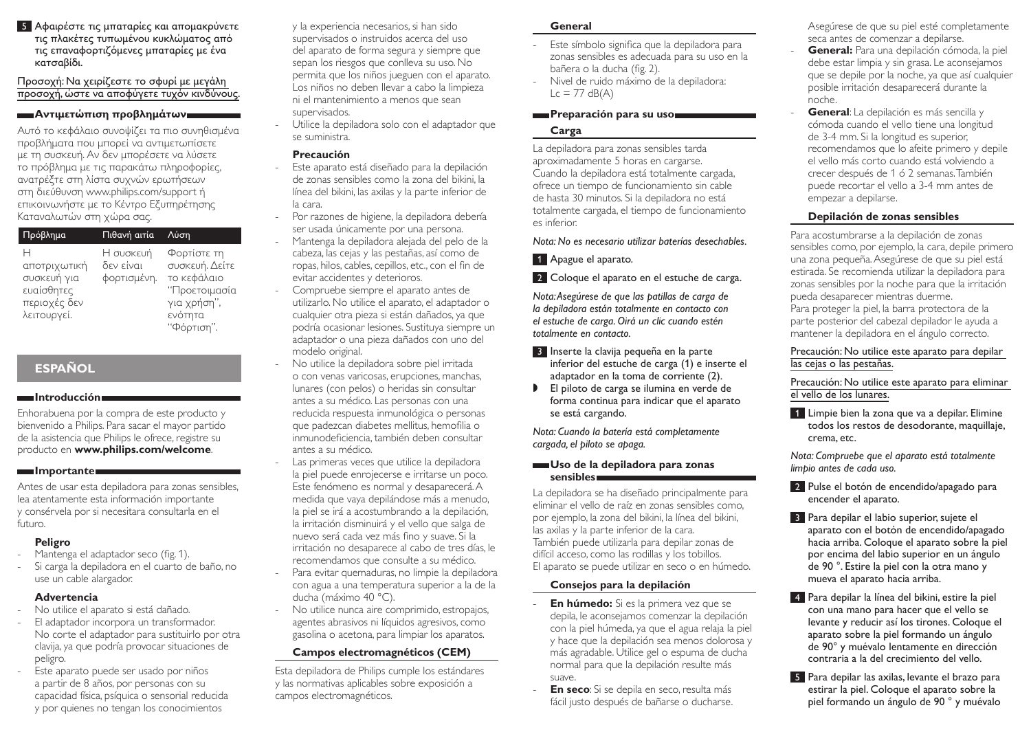5 Αφαιρέστε τις μπαταρίες και απομακρύνετε τις πλακέτες τυπωμένου κυκλώματος από τις επαναφορτιζόμενες μπαταρίες με ένα κατσαβίδι.

Προσοχή: Να χειρίζεστε το σφυρί με μεγάλη προσοχή, ώστε να αποφύγετε τυχόν κινδύνους.

### **Αντιμετώπιση προβλημάτων**

Αυτό το κεφάλαιο συνοψίζει τα πιο συνηθισμένα προβλήματα που μπορεί να αντιμετωπίσετε με τη συσκευή. Αν δεν μπορέσετε να λύσετε το πρόβλημα με τις παρακάτω πληροφορίες, ανατρέξτε στη λίστα συχνών ερωτήσεων στη διεύθυνση www.philips.com/support ή επικοινωνήστε με το Κέντρο Εξυπηρέτησης Καταναλωτών στη χώρα σας.

| Πρόβλημα                                                                      | Πιθανή αιτία                          | Λύση                                                                                                   |
|-------------------------------------------------------------------------------|---------------------------------------|--------------------------------------------------------------------------------------------------------|
| Н<br>αποτριχωτική<br>συσκευή για<br>ευαίσθητες<br>περιοχές δεν<br>λειτουργεί. | Η συσκευή<br>δεν είναι<br>φορτισμένη. | Φορτίστε τη<br>συσκευή. Δείτε<br>το κεφάλαιο<br>''Προετοιμασία<br>για χρήση",<br>ενότητα<br>"Φόρτιση". |

# **ESPAÑOL**

### **Introducción**

Enhorabuena por la compra de este producto y bienvenido a Philips. Para sacar el mayor partido de la asistencia que Philips le ofrece, registre su producto en **www.philips.com/welcome**.

### **Importante**

Antes de usar esta depiladora para zonas sensibles, lea atentamente esta información importante y consérvela por si necesitara consultarla en el futuro

# **Peligro**

- Mantenga el adaptador seco (fig. 1).
- Si carga la depiladora en el cuarto de baño, no use un cable alargador.

## **Advertencia**

- No utilice el aparato si está dañado.
- El adaptador incorpora un transformador. No corte el adaptador para sustituirlo por otra clavija, ya que podría provocar situaciones de peligro.
- Este aparato puede ser usado por niños a partir de 8 años, por personas con su capacidad física, psíquica o sensorial reducida y por quienes no tengan los conocimientos

y la experiencia necesarios, si han sido supervisados o instruidos acerca del uso del aparato de forma segura y siempre que sepan los riesgos que conlleva su uso. No permita que los niños jueguen con el aparato. Los niños no deben llevar a cabo la limpieza ni el mantenimiento a menos que sean supervisados.

- Utilice la depiladora solo con el adaptador que se suministra.

### **Precaución**

- Este aparato está diseñado para la depilación de zonas sensibles como la zona del bikini, la línea del bikini, las axilas y la parte inferior de la cara.
- Por razones de higiene, la depiladora debería ser usada únicamente por una persona.
- Mantenga la depiladora alejada del pelo de la cabeza, las cejas y las pestañas, así como de ropas, hilos, cables, cepillos, etc., con el fin de evitar accidentes y deterioros.
- Compruebe siempre el aparato antes de utilizarlo. No utilice el aparato, el adaptador o cualquier otra pieza si están dañados, ya que podría ocasionar lesiones. Sustituya siempre un adaptador o una pieza dañados con uno del modelo original.
- No utilice la depiladora sobre piel irritada o con venas varicosas, erupciones, manchas, lunares (con pelos) o heridas sin consultar antes a su médico. Las personas con una reducida respuesta inmunológica o personas que padezcan diabetes mellitus, hemofilia o inmunodeficiencia, también deben consultar antes a su médico.
- Las primeras veces que utilice la depiladora la piel puede enrojecerse e irritarse un poco. Este fenómeno es normal y desaparecerá. A medida que vaya depilándose más a menudo, la piel se irá a acostumbrando a la depilación, la irritación disminuirá y el vello que salga de nuevo será cada vez más fino y suave. Si la irritación no desaparece al cabo de tres días, le recomendamos que consulte a su médico.
- Para evitar quemaduras, no limpie la depiladora con agua a una temperatura superior a la de la ducha (máximo 40 °C).
- No utilice nunca aire comprimido, estropajos, agentes abrasivos ni líquidos agresivos, como gasolina o acetona, para limpiar los aparatos.

# **Campos electromagnéticos (CEM)**

Esta depiladora de Philips cumple los estándares y las normativas aplicables sobre exposición a campos electromagnéticos.

### **General**

- Este símbolo significa que la depiladora para zonas sensibles es adecuada para su uso en la bañera o la ducha (fig. 2).
- Nivel de ruido máximo de la depiladora:  $Lc = 77$  dB(A)

### **Preparación para su usol establecer**

# **Carga**

La depiladora para zonas sensibles tarda aproximadamente 5 horas en cargarse. Cuando la depiladora está totalmente cargada, ofrece un tiempo de funcionamiento sin cable de hasta 30 minutos. Si la depiladora no está totalmente cargada, el tiempo de funcionamiento es inferior.

### *Nota: No es necesario utilizar baterías desechables.*

# 1 Apague el aparato.

# 2 Coloque el aparato en el estuche de carga.

*Nota: Asegúrese de que las patillas de carga de la depiladora están totalmente en contacto con el estuche de carga. Oirá un clic cuando estén totalmente en contacto.*

- 3 Inserte la clavija pequeña en la parte inferior del estuche de carga (1) e inserte el adaptador en la toma de corriente (2).
- , El piloto de carga se ilumina en verde de forma continua para indicar que el aparato se está cargando.

*Nota: Cuando la batería está completamente cargada, el piloto se apaga.*

### **Uso de la depiladora para zonas sensibles**

La depiladora se ha diseñado principalmente para eliminar el vello de raíz en zonas sensibles como, por ejemplo, la zona del bikini, la línea del bikini, las axilas y la parte inferior de la cara. También puede utilizarla para depilar zonas de difícil acceso, como las rodillas y los tobillos. El aparato se puede utilizar en seco o en húmedo.

## **Consejos para la depilación**

- **En húmedo:** Si es la primera vez que se depila, le aconsejamos comenzar la depilación con la piel húmeda, ya que el agua relaja la piel y hace que la depilación sea menos dolorosa y más agradable. Utilice gel o espuma de ducha normal para que la depilación resulte más suave.
- **En seco**: Si se depila en seco, resulta más fácil justo después de bañarse o ducharse.

Asegúrese de que su piel esté completamente seca antes de comenzar a depilarse.

- **General:** Para una depilación cómoda, la piel debe estar limpia y sin grasa. Le aconsejamos que se depile por la noche, ya que así cualquier posible irritación desaparecerá durante la noche.
- **General**: La depilación es más sencilla y cómoda cuando el vello tiene una longitud de 3-4 mm. Si la longitud es superior, recomendamos que lo afeite primero y depile el vello más corto cuando está volviendo a crecer después de 1 ó 2 semanas. También puede recortar el vello a 3-4 mm antes de empezar a depilarse.

# **Depilación de zonas sensibles**

Para acostumbrarse a la depilación de zonas sensibles como, por ejemplo, la cara, depile primero una zona pequeña. Asegúrese de que su piel está estirada. Se recomienda utilizar la depiladora para zonas sensibles por la noche para que la irritación pueda desaparecer mientras duerme. Para proteger la piel, la barra protectora de la parte posterior del cabezal depilador le ayuda a mantener la depiladora en el ángulo correcto.

### Precaución: No utilice este aparato para depilar las cejas o las pestañas.

Precaución: No utilice este aparato para eliminar el vello de los lunares.

1 Limpie bien la zona que va a depilar. Elimine todos los restos de desodorante, maquillaje, crema, etc.

*Nota: Compruebe que el aparato está totalmente limpio antes de cada uso.*

- 2 Pulse el botón de encendido/apagado para encender el aparato.
- 3 Para depilar el labio superior, sujete el aparato con el botón de encendido/apagado hacia arriba. Coloque el aparato sobre la piel por encima del labio superior en un ángulo de 90 °. Estire la piel con la otra mano y mueva el aparato hacia arriba.
- 4 Para depilar la línea del bikini, estire la piel con una mano para hacer que el vello se levante y reducir así los tirones. Coloque el aparato sobre la piel formando un ángulo de 90° y muévalo lentamente en dirección contraria a la del crecimiento del vello.
- 5 Para depilar las axilas, levante el brazo para estirar la piel. Coloque el aparato sobre la piel formando un ángulo de 90 ° y muévalo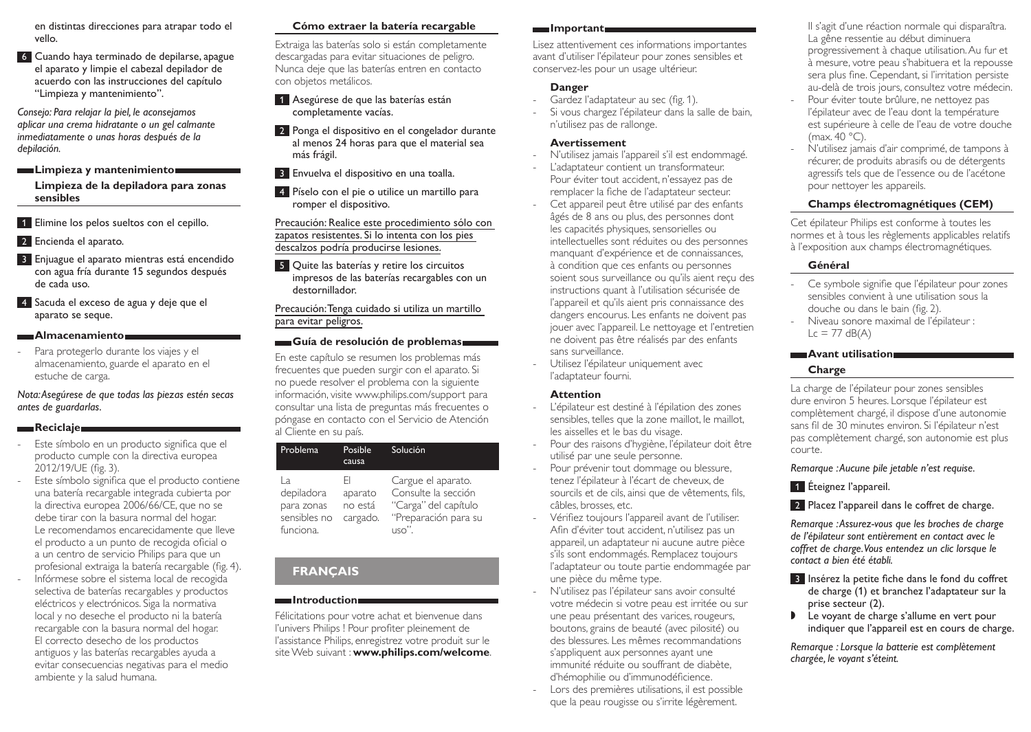en distintas direcciones para atrapar todo el vello.

6 Cuando haya terminado de depilarse, apague el aparato y limpie el cabezal depilador de acuerdo con las instrucciones del capítulo "Limpieza y mantenimiento".

*Consejo: Para relajar la piel, le aconsejamos aplicar una crema hidratante o un gel calmante inmediatamente o unas horas después de la depilación.* 

**Limpieza y mantenimiento**

**Limpieza de la depiladora para zonas sensibles**

- 1 Elimine los pelos sueltos con el cepillo.
- 2 Encienda el aparato.
- 3 Enjuague el aparato mientras está encendido con agua fría durante 15 segundos después de cada uso.
- 4 Sacuda el exceso de agua y deje que el aparato se seque.

#### **Almacenamiento**

Para protegerlo durante los viajes y el almacenamiento, guarde el aparato en el estuche de carga.

*Nota: Asegúrese de que todas las piezas estén secas antes de guardarlas.*

### **Reciclaie**

- Este símbolo en un producto significa que el producto cumple con la directiva europea 2012/19/UE (fig. 3).
- Este símbolo significa que el producto contiene una batería recargable integrada cubierta por la directiva europea 2006/66/CE, que no se debe tirar con la basura normal del hogar. Le recomendamos encarecidamente que lleve el producto a un punto de recogida oficial o a un centro de servicio Philips para que un profesional extraiga la batería recargable (fig. 4). - Infórmese sobre el sistema local de recogida selectiva de baterías recargables y productos eléctricos y electrónicos. Siga la normativa local y no deseche el producto ni la batería recargable con la basura normal del hogar. El correcto desecho de los productos antiguos y las baterías recargables ayuda a evitar consecuencias negativas para el medio ambiente y la salud humana.

### **Cómo extraer la batería recargable**

Extraiga las baterías solo si están completamente descargadas para evitar situaciones de peligro. Nunca deje que las baterías entren en contacto con objetos metálicos.

- 1 Asegúrese de que las baterías están completamente vacías.
- 2 Ponga el dispositivo en el congelador durante al menos 24 horas para que el material sea más frágil.
- 3 Envuelva el dispositivo en una toalla.
- 4 Píselo con el pie o utilice un martillo para romper el dispositivo.

Precaución: Realice este procedimiento sólo con zapatos resistentes. Si lo intenta con los pies descalzos podría producirse lesiones.

5 Quite las baterías y retire los circuitos impresos de las baterías recargables con un destornillador.

Precaución: Tenga cuidado si utiliza un martillo para evitar peligros.

### **Guía de resolución de problemas**

En este capítulo se resumen los problemas más frecuentes que pueden surgir con el aparato. Si no puede resolver el problema con la siguiente información, visite www.philips.com/support para consultar una lista de preguntas más frecuentes o póngase en contacto con el Servicio de Atención al Cliente en su país.

| Problema                                                    | Posible<br>causa                     | Solución                                                                                           |
|-------------------------------------------------------------|--------------------------------------|----------------------------------------------------------------------------------------------------|
| Iа<br>depiladora<br>para zonas<br>sensibles no<br>funciona. | FI<br>aparato<br>no está<br>cargado. | Cargue el aparato.<br>Consulte la sección<br>"Carga" del capítulo<br>"Preparación para su<br>பടറ'' |

# **FRANÇAIS**

### **Introduction**

Félicitations pour votre achat et bienvenue dans l'univers Philips ! Pour profiter pleinement de l'assistance Philips, enregistrez votre produit sur le site Web suivant : **www.philips.com/welcome**.

#### **Important**

Lisez attentivement ces informations importantes avant d'utiliser l'épilateur pour zones sensibles et conservez-les pour un usage ultérieur.

### **Danger**

- Gardez l'adaptateur au sec (fig. 1).
- Si vous chargez l'épilateur dans la salle de bain, n'utilisez pas de rallonge.

### **Avertissement**

- N'utilisez jamais l'appareil s'il est endommagé.
- L'adaptateur contient un transformateur. Pour éviter tout accident, n'essayez pas de remplacer la fiche de l'adaptateur secteur.
- Cet appareil peut être utilisé par des enfants âgés de 8 ans ou plus, des personnes dont les capacités physiques, sensorielles ou intellectuelles sont réduites ou des personnes manquant d'expérience et de connaissances, à condition que ces enfants ou personnes soient sous surveillance ou qu'ils aient reçu des instructions quant à l'utilisation sécurisée de l'appareil et qu'ils aient pris connaissance des dangers encourus. Les enfants ne doivent pas jouer avec l'appareil. Le nettoyage et l'entretien ne doivent pas être réalisés par des enfants sans surveillance.
- Utilisez l'épilateur uniquement avec l'adaptateur fourni.

## **Attention**

- L'épilateur est destiné à l'épilation des zones sensibles, telles que la zone maillot, le maillot, les aisselles et le bas du visage.
- Pour des raisons d'hygiène, l'épilateur doit être utilisé par une seule personne.
- Pour prévenir tout dommage ou blessure, tenez l'épilateur à l'écart de cheveux, de sourcils et de cils, ainsi que de vêtements, fils, câbles, brosses, etc.
- Vérifiez toujours l'appareil avant de l'utiliser. Afin d'éviter tout accident, n'utilisez pas un appareil, un adaptateur ni aucune autre pièce s'ils sont endommagés. Remplacez toujours l'adaptateur ou toute partie endommagée par une pièce du même type.
- N'utilisez pas l'épilateur sans avoir consulté votre médecin si votre peau est irritée ou sur une peau présentant des varices, rougeurs, boutons, grains de beauté (avec pilosité) ou des blessures. Les mêmes recommandations s'appliquent aux personnes ayant une immunité réduite ou souffrant de diabète, d'hémophilie ou d'immunodéficience.
- Lors des premières utilisations, il est possible que la peau rougisse ou s'irrite légèrement.

Il s'agit d'une réaction normale qui disparaîtra. La gêne ressentie au début diminuera progressivement à chaque utilisation. Au fur et à mesure, votre peau s'habituera et la repousse sera plus fine. Cependant, si l'irritation persiste au-delà de trois jours, consultez votre médecin.

- Pour éviter toute brûlure, ne nettoyez pas l'épilateur avec de l'eau dont la température est supérieure à celle de l'eau de votre douche  $(max 40 °C)$
- N'utilisez jamais d'air comprimé, de tampons à récurer, de produits abrasifs ou de détergents agressifs tels que de l'essence ou de l'acétone pour nettoyer les appareils.

### **Champs électromagnétiques (CEM)**

Cet épilateur Philips est conforme à toutes les normes et à tous les règlements applicables relatifs à l'exposition aux champs électromagnétiques.

### **Général**

- Ce symbole signifie que l'épilateur pour zones sensibles convient à une utilisation sous la douche ou dans le bain (fig. 2).
- Niveau sonore maximal de l'épilateur :  $Lc = 77$  dB(A)

### **Avant utilisation**

# **Charge**

La charge de l'épilateur pour zones sensibles dure environ 5 heures. Lorsque l'épilateur est complètement chargé, il dispose d'une autonomie sans fil de 30 minutes environ. Si l'épilateur n'est pas complètement chargé, son autonomie est plus courte.

*Remarque : Aucune pile jetable n'est requise.*

1 Éteignez l'appareil.

2 Placez l'appareil dans le coffret de charge.

*Remarque : Assurez-vous que les broches de charge de l'épilateur sont entièrement en contact avec le coffret de charge. Vous entendez un clic lorsque le contact a bien été établi.*

- 3 Insérez la petite fiche dans le fond du coffret de charge (1) et branchez l'adaptateur sur la prise secteur (2).
- , Le voyant de charge s'allume en vert pour indiquer que l'appareil est en cours de charge.

*Remarque : Lorsque la batterie est complètement chargée, le voyant s'éteint.*